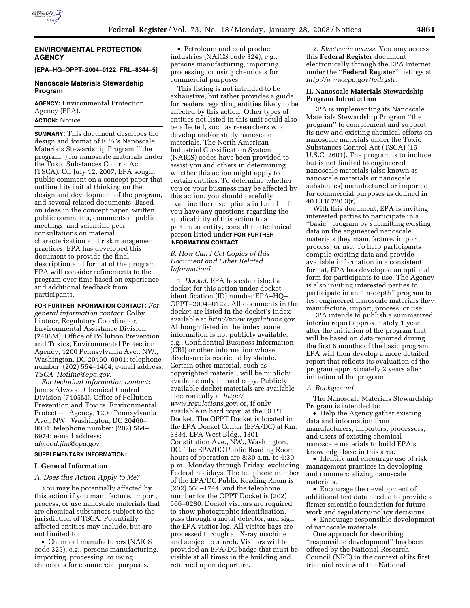

# **ENVIRONMENTAL PROTECTION AGENCY**

#### **[EPA–HQ–OPPT–2004–0122; FRL–8344–5]**

# **Nanoscale Materials Stewardship Program**

**AGENCY:** Environmental Protection Agency (EPA). **ACTION:** Notice.

**SUMMARY:** This document describes the design and format of EPA's Nanoscale Materials Stewardship Program (''the program'') for nanoscale materials under the Toxic Substances Control Act (TSCA). On July 12, 2007, EPA sought public comment on a concept paper that outlined its initial thinking on the design and development of the program, and several related documents. Based on ideas in the concept paper, written public comments, comments at public meetings, and scientific peer consultations on material characterization and risk management practices, EPA has developed this document to provide the final description and format of the program. EPA will consider refinements to the program over time based on experience and additional feedback from participants.

**FOR FURTHER INFORMATION CONTACT:** *For general information contact*: Colby Lintner, Regulatory Coordinator, Environmental Assistance Division (7408M), Office of Pollution Prevention and Toxics, Environmental Protection Agency, 1200 Pennsylvania Ave., NW., Washington, DC 20460–0001; telephone number: (202) 554–1404; e-mail address: *TSCA–Hotline@epa.gov*.

*For technical information contact*: James Alwood, Chemical Control Division (7405M), Office of Pollution Prevention and Toxics, Environmental Protection Agency, 1200 Pennsylvania Ave., NW., Washington, DC 20460– 0001; telephone number: (202) 564– 8974; e-mail address: *alwood.jim@epa.gov*.

#### **SUPPLEMENTARY INFORMATION:**

# **I. General Information**

#### *A. Does this Action Apply to Me?*

You may be potentially affected by this action if you manufacture, import, process, or use nanoscale materials that are chemical substances subject to the jurisdiction of TSCA. Potentially affected entities may include, but are not limited to:

• Chemical manufacturers (NAICS code 325), e.g., persons manufacturing, importing, processing, or using chemicals for commercial purposes.

• Petroleum and coal product industries (NAICS code 324), e.g., persons manufacturing, importing, processing, or using chemicals for commercial purposes.

This listing is not intended to be exhaustive, but rather provides a guide for readers regarding entities likely to be affected by this action. Other types of entities not listed in this unit could also be affected, such as researchers who develop and/or study nanoscale materials. The North American Industrial Classification System (NAICS) codes have been provided to assist you and others in determining whether this action might apply to certain entities. To determine whether you or your business may be affected by this action, you should carefully examine the descriptions in Unit II. If you have any questions regarding the applicability of this action to a particular entity, consult the technical person listed under **FOR FURTHER INFORMATION CONTACT**.

# *B. How Can I Get Copies of this Document and Other Related Information?*

1. *Docket*. EPA has established a docket for this action under docket identification (ID) number EPA–HQ– OPPT–2004–0122. All documents in the docket are listed in the docket's index available at *http://www.regulations.gov*. Although listed in the index, some information is not publicly available, e.g., Confidential Business Information (CBI) or other information whose disclosure is restricted by statute. Certain other material, such as copyrighted material, will be publicly available only in hard copy. Publicly available docket materials are available electronically at *http:// www.regulations.gov*, or, if only available in hard copy, at the OPPT Docket. The OPPT Docket is located in the EPA Docket Center (EPA/DC) at Rm. 3334, EPA West Bldg., 1301 Constitution Ave., NW., Washington, DC. The EPA/DC Public Reading Room hours of operation are 8:30 a.m. to 4:30 p.m., Monday through Friday, excluding Federal holidays. The telephone number of the EPA/DC Public Reading Room is (202) 566–1744, and the telephone number for the OPPT Docket is (202) 566–0280. Docket visitors are required to show photographic identification, pass through a metal detector, and sign the EPA visitor log. All visitor bags are processed through an X-ray machine and subject to search. Visitors will be provided an EPA/DC badge that must be visible at all times in the building and returned upon departure.

2. *Electronic access*. You may access this **Federal Register** document electronically through the EPA Internet under the ''**Federal Register**'' listings at *http://www.epa.gov/fedrgstr*.

# **II. Nanoscale Materials Stewardship Program Introduction**

EPA is implementing its Nanoscale Materials Stewardship Program ''the program'' to complement and support its new and existing chemical efforts on nanoscale materials under the Toxic Substances Control Act (TSCA) (15 U.S.C. 2601). The program is to include but is not limited to engineered nanoscale materials (also known as nanoscale materials or nanoscale substances) manufactured or imported for commercial purposes as defined in 40 CFR 720.3(r).

With this document, EPA is inviting interested parties to participate in a ''basic'' program by submitting existing data on the engineered nanoscale materials they manufacture, import, process, or use. To help participants compile existing data and provide available information in a consistent format, EPA has developed an optional form for participants to use. The Agency is also inviting interested parties to participate in an ''in-depth'' program to test engineered nanoscale materials they manufacture, import, process, or use.

EPA intends to publish a summarized interim report approximately 1 year after the initiation of the program that will be based on data reported during the first 6 months of the basic program. EPA will then develop a more detailed report that reflects its evaluation of the program approximately 2 years after initiation of the program.

## *A. Background*

The Nanoscale Materials Stewardship Program is intended to:

• Help the Agency gather existing data and information from manufacturers, importers, processors, and users of existing chemical nanoscale materials to build EPA's knowledge base in this area.

• Identify and encourage use of risk management practices in developing and commercializing nanoscale materials.

• Encourage the development of additional test data needed to provide a firmer scientific foundation for future work and regulatory/policy decisions.

• Encourage responsible development of nanoscale materials.

One approach for describing ''responsible development'' has been offered by the National Research Council (NRC) in the context of its first triennial review of the National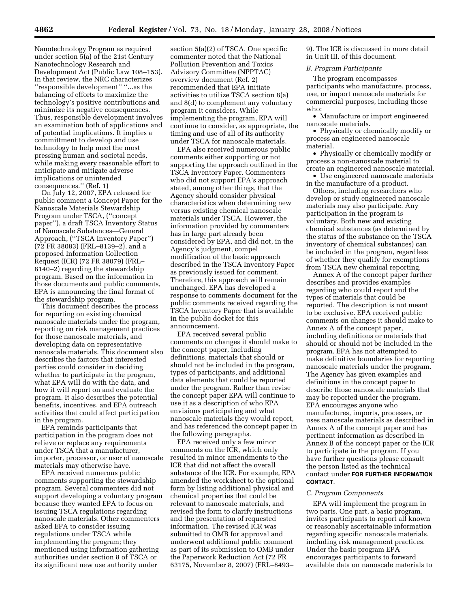Nanotechnology Program as required under section 5(a) of the 21st Century Nanotechnology Research and Development Act (Public Law 108–153). In that review, the NRC characterizes ''responsible development'' ''...as the balancing of efforts to maximize the technology's positive contributions and minimize its negative consequences. Thus, responsible development involves an examination both of applications and of potential implications. It implies a committment to develop and use technology to help meet the most pressing human and societal needs, while making every reasonable effort to anticipate and mitigate adverse implications or unintended consequences.'' (Ref. 1)

On July 12, 2007, EPA released for public comment a Concept Paper for the Nanoscale Materials Stewardship Program under TSCA, (''concept paper''), a draft TSCA Inventory Status of Nanoscale Substances—General Approach, (''TSCA Inventory Paper'') (72 FR 38083) (FRL–8139–2), and a proposed Information Collection Request (ICR) (72 FR 38079) (FRL– 8140–2) regarding the stewardship program. Based on the information in those documents and public comments, EPA is announcing the final format of the stewardship program.

This document describes the process for reporting on existing chemical nanoscale materials under the program, reporting on risk management practices for those nanoscale materials, and developing data on representative nanoscale materials. This document also describes the factors that interested parties could consider in deciding whether to participate in the program, what EPA will do with the data, and how it will report on and evaluate the program. It also describes the potential benefits, incentives, and EPA outreach activities that could affect participation in the program.

EPA reminds participants that participation in the program does not relieve or replace any requirements under TSCA that a manufacturer, importer, processor, or user of nanoscale materials may otherwise have.

EPA received numerous public comments supporting the stewardship program. Several commenters did not support developing a voluntary program because they wanted EPA to focus on issuing TSCA regulations regarding nanoscale materials. Other commenters asked EPA to consider issuing regulations under TSCA while implementing the program; they mentioned using information gathering authorities under section 8 of TSCA or its significant new use authority under

section 5(a)(2) of TSCA. One specific commenter noted that the National Pollution Prevention and Toxics Advisory Committee (NPPTAC) overview document (Ref. 2) recommended that EPA initiate activities to utilize TSCA section 8(a) and 8(d) to complement any voluntary program it considers. While implementing the program, EPA will continue to consider, as appropriate, the timing and use of all of its authority under TSCA for nanoscale materials.

EPA also received numerous public comments either supporting or not supporting the approach outlined in the TSCA Inventory Paper. Commenters who did not support EPA's approach stated, among other things, that the Agency should consider physical characteristics when determining new versus existing chemical nanoscale materials under TSCA. However, the information provided by commenters has in large part already been considered by EPA, and did not, in the Agency's judgment, compel modification of the basic approach described in the TSCA Inventory Paper as previously issued for comment. Therefore, this approach will remain unchanged. EPA has developed a response to comments document for the public comments received regarding the TSCA Inventory Paper that is available in the public docket for this announcement.

EPA received several public comments on changes it should make to the concept paper, including definitions, materials that should or should not be included in the program, types of participants, and additional data elements that could be reported under the program. Rather than revise the concept paper EPA will continue to use it as a description of who EPA envisions participating and what nanoscale materials they would report, and has referenced the concept paper in the following paragraphs.

EPA received only a few minor comments on the ICR, which only resulted in minor amendments to the ICR that did not affect the overall substance of the ICR. For example, EPA amended the worksheet to the optional form by listing additional physical and chemical properties that could be relevant to nanoscale materials, and revised the form to clarify instructions and the presentation of requested information. The revised ICR was submitted to OMB for approval and underwent additional public comment as part of its submission to OMB under the Paperwork Reduction Act (72 FR 63175, November 8, 2007) (FRL–8493–

9). The ICR is discussed in more detail in Unit III. of this document.

## *B. Program Participants*

The program encompasses participants who manufacture, process, use, or import nanoscale materials for commercial purposes, including those who:

• Manufacture or import engineered nanoscale materials.

• Physically or chemically modify or process an engineered nanoscale material.

• Physically or chemically modify or process a non-nanoscale material to create an engineered nanoscale material.

• Use engineered nanoscale materials in the manufacture of a product.

Others, including researchers who develop or study engineered nanoscale materials may also participate. Any participation in the program is voluntary. Both new and existing chemical substances (as determined by the status of the substance on the TSCA inventory of chemical substances) can be included in the program, regardless of whether they qualify for exemptions from TSCA new chemical reporting.

Annex A of the concept paper further describes and provides examples regarding who could report and the types of materials that could be reported. The description is not meant to be exclusive. EPA received public comments on changes it should make to Annex A of the concept paper, including definitions or materials that should or should not be included in the program. EPA has not attempted to make definitive boundaries for reporting nanoscale materials under the program. The Agency has given examples and definitions in the concept paper to describe those nanoscale materials that may be reported under the program. EPA encourages anyone who manufactures, imports, processes, or uses nanoscale materials as described in Annex A of the concept paper and has pertinent information as described in Annex B of the concept paper or the ICR to participate in the program. If you have further questions please consult the person listed as the technical contact under **FOR FURTHER INFORMATION CONTACT**.

#### *C. Program Components*

EPA will implement the program in two parts. One part, a basic program, invites participants to report all known or reasonably ascertainable information regarding specific nanoscale materials, including risk management practices. Under the basic program EPA encourages participants to forward available data on nanoscale materials to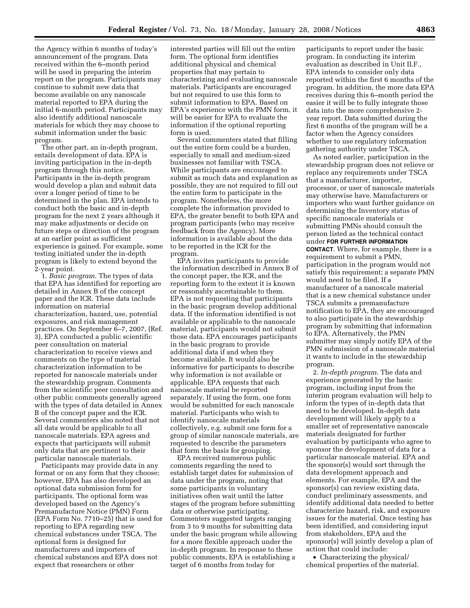the Agency within 6 months of today's announcement of the program. Data received within the 6–month period will be used in preparing the interim report on the program. Participants may continue to submit new data that become available on any nanoscale material reported to EPA during the initial 6-month period. Participants may also identify additional nanoscale materials for which they may choose to submit information under the basic program.

The other part, an in-depth program, entails development of data. EPA is inviting participation in the in-depth program through this notice. Participants in the in-depth program would develop a plan and submit data over a longer period of time to be determined in the plan. EPA intends to conduct both the basic and in-depth program for the next 2 years although it may make adjustments or decide on future steps or direction of the program at an earlier point as sufficient experience is gained. For example, some testing initiated under the in-depth program is likely to extend beyond the 2-year point.

1. *Basic program*. The types of data that EPA has identified for reporting are detailed in Annex B of the concept paper and the ICR. These data include information on material characterization, hazard, use, potential exposures, and risk management practices. On September 6–7, 2007, (Ref. 3), EPA conducted a public scientific peer consultation on material characterization to receive views and comments on the type of material characterization information to be reported for nanoscale materials under the stewardship program. Comments from the scientific peer consultation and other public comments generally agreed with the types of data detailed in Annex B of the concept paper and the ICR. Several commenters also noted that not all data would be applicable to all nanoscale materials. EPA agrees and expects that participants will submit only data that are pertinent to their particular nanoscale materials.

Participants may provide data in any format or on any form that they choose; however, EPA has also developed an optional data submission form for participants. The optional form was developed based on the Agency's Premanufacture Notice (PMN) Form (EPA Form No. 7710–25) that is used for reporting to EPA regarding new chemical substances under TSCA. The optional form is designed for manufacturers and importers of chemical substances and EPA does not expect that researchers or other

interested parties will fill out the entire form. The optional form identifies additional physical and chemical properties that may pertain to characterizing and evaluating nanoscale materials. Participants are encouraged but not required to use this form to submit information to EPA. Based on EPA's experience with the PMN form, it will be easier for EPA to evaluate the information if the optional reporting form is used.

Several commenters stated that filling out the entire form could be a burden, especially to small and medium-sized businesses not familiar with TSCA. While participants are encouraged to submit as much data and explanation as possible, they are not required to fill out the entire form to participate in the program. Nonetheless, the more complete the information provided to EPA, the greater benefit to both EPA and program participants (who may receive feedback from the Agency). More information is available about the data to be reported in the ICR for the program.

EPA invites participants to provide the information described in Annex B of the concept paper, the ICR, and the reporting form to the extent it is known or reasonably ascertainable to them. EPA is not requesting that participants in the basic program develop additional data. If the information identified is not available or applicable to the nanoscale material, participants would not submit those data. EPA encourages participants in the basic program to provide additional data if and when they become available. It would also be informative for participants to describe why information is not available or applicable. EPA requests that each nanoscale material be reported separately. If using the form, one form would be submitted for each nanoscale material. Participants who wish to identify nanoscale materials collectively, e.g. submit one form for a group of similar nanoscale materials, are requested to describe the parameters that form the basis for grouping.

EPA received numerous public comments regarding the need to establish target dates for submission of data under the program, noting that some participants in voluntary initiatives often wait until the latter stages of the program before submitting data or otherwise participating. Commenters suggested targets ranging from 3 to 9 months for submitting data under the basic program while allowing for a more flexible approach under the in-depth program. In response to these public comments, EPA is establishing a target of 6 months from today for

participants to report under the basic program. In conducting its interim evaluation as described in Unit II.F., EPA intends to consider only data reported within the first 6 months of the program. In addition, the more data EPA receives during this 6–month period the easier it will be to fully integrate those data into the more comprehensive 2 year report. Data submitted during the first 6 months of the program will be a factor when the Agency considers whether to use regulatory information gathering authority under TSCA.

As noted earlier, participation in the stewardship program does not relieve or replace any requirements under TSCA that a manufacturer, importer, processor, or user of nanoscale materials may otherwise have. Manufacturers or importers who want further guidance on determining the Inventory status of specific nanoscale materials or submitting PMNs should consult the person listed as the technical contact under **FOR FURTHER INFORMATION CONTACT**. Where, for example, there is a requirement to submit a PMN, participation in the program would not satisfy this requirement; a separate PMN would need to be filed. If a manufacturer of a nanoscale material that is a new chemical substance under TSCA submits a premanufacture notification to EPA, they are encouraged to also participate in the stewardship program by submitting that information to EPA. Alternatively, the PMN submitter may simply notify EPA of the PMN submission of a nanoscale material it wants to include in the stewardship program.

2. *In-depth program*. The data and experience generated by the basic program, including input from the interim program evaluation will help to inform the types of in-depth data that need to be developed. In-depth data development will likely apply to a smaller set of representative nanoscale materials designated for further evaluation by participants who agree to sponsor the development of data for a particular nanoscale material. EPA and the sponsor(s) would sort through the data development approach and elements. For example, EPA and the sponsor(s) can review existing data, conduct preliminary assessments, and identify additional data needed to better characterize hazard, risk, and exposure issues for the material. Once testing has been identified, and considering input from stakeholders, EPA and the sponsor(s) will jointly develop a plan of action that could include:

• Characterizing the physical/ chemical properties of the material.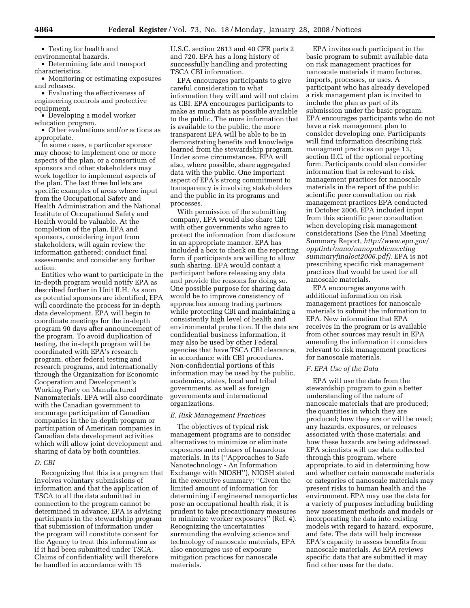• Testing for health and

environmental hazards.

• Determining fate and transport characteristics.

• Monitoring or estimating exposures and releases.

• Evaluating the effectiveness of engineering controls and protective equipment.

• Developing a model worker education program.

• Other evaluations and/or actions as appropriate.

In some cases, a particular sponsor may choose to implement one or more aspects of the plan, or a consortium of sponsors and other stakeholders may work together to implement aspects of the plan. The last three bullets are specific examples of areas where input from the Occupational Safety and Health Administration and the National Institute of Occupational Safety and Health would be valuable. At the completion of the plan, EPA and sponsors, considering input from stakeholders, will again review the information gathered; conduct final assessments; and consider any further action.

Entities who want to participate in the in-depth program would notify EPA as described further in Unit II.H. As soon as potential sponsors are identified, EPA will coordinate the process for in-depth data development. EPA will begin to coordinate meetings for the in-depth program 90 days after announcement of the program. To avoid duplication of testing, the in-depth program will be coordinated with EPA's research program, other federal testing and research programs, and internationally through the Organization for Economic Cooperation and Development's Working Party on Manufactured Nanomaterials. EPA will also coordinate with the Canadian government to encourage participation of Canadian companies in the in-depth program or participation of American companies in Canadian data development activities which will allow joint development and sharing of data by both countries.

## *D. CBI*

Recognizing that this is a program that involves voluntary submissions of information and that the application of TSCA to all the data submitted in connection to the program cannot be determined in advance, EPA is advising participants in the stewardship program that submission of information under the program will constitute consent for the Agency to treat this information as if it had been submitted under TSCA. Claims of confidentiality will therefore be handled in accordance with 15

U.S.C. section 2613 and 40 CFR parts 2 and 720. EPA has a long history of successfully handling and protecting TSCA CBI information.

EPA encourages participants to give careful consideration to what information they will and will not claim as CBI. EPA encourages participants to make as much data as possible available to the public. The more information that is available to the public, the more transparent EPA will be able to be in demonstrating benefits and knowledge learned from the stewardship program. Under some circumstances, EPA will also, where possible, share aggregated data with the public. One important aspect of EPA's strong commitment to transparency is involving stakeholders and the public in its programs and processes.

With permission of the submitting company, EPA would also share CBI with other governments who agree to protect the information from disclosure in an appropriate manner. EPA has included a box to check on the reporting form if participants are willing to allow such sharing. EPA would contact a participant before releasing any data and provide the reasons for doing so. One possible purpose for sharing data would be to improve consistency of approaches among trading partners while protecting CBI and maintaining a consistently high level of health and environmental protection. If the data are confidential business information, it may also be used by other Federal agencies that have TSCA CBI clearance, in accordance with CBI procedures. Non-confidential portions of this information may be used by the public, academics, states, local and tribal governments, as well as foreign governments and international organizations.

## *E. Risk Management Practices*

The objectives of typical risk management programs are to consider alternatives to minimize or eliminate exposures and releases of hazardous materials. In its (''Approaches to Safe Nanotechnology - An Information Exchange with NIOSH''), NIOSH stated in the executive summary: ''Given the limited amount of information for determining if engineered nanoparticles pose an occupational health risk, it is prudent to take precautionary measures to minimize worker exposures'' (Ref. 4). Recognizing the uncertainties surrounding the evolving science and technology of nanoscale materials, EPA also encourages use of exposure mitigation practices for nanoscale materials.

EPA invites each participant in the basic program to submit available data on risk management practices for nanoscale materials it manufactures, imports, processes, or uses. A participant who has already developed a risk management plan is invited to include the plan as part of its submission under the basic program. EPA encourages participants who do not have a risk management plan to consider developing one. Participants will find information describing risk managment practices on page 13, section II.C. of the optional reporting form. Participants could also consider information that is relevant to risk management practices for nanoscale materials in the report of the public scientific peer consultation on risk management practices EPA conducted in October 2006. EPA included input from this scientific peer consultation when developing risk management considerations (See the Final Meeting Summary Report, *http://www.epa.gov/ opptintr/nano/nanopublicmeeting summaryfinaloct2006.pdf)*. EPA is not prescribing specific risk management practices that would be used for all nanoscale materials.

EPA encourages anyone with additional information on risk management practices for nanoscale materials to submit the information to EPA. New information that EPA receives in the program or is available from other sources may result in EPA amending the information it considers relevant to risk management practices for nanoscale materials.

## *F. EPA Use of the Data*

EPA will use the data from the stewardship program to gain a better understanding of the nature of nanoscale materials that are produced; the quantities in which they are produced; how they are or will be used; any hazards, exposures, or releases associated with those materials; and how these hazards are being addressed. EPA scientists will use data collected through this program, where appropriate, to aid in determining how and whether certain nanoscale materials or categories of nanoscale materials may present risks to human health and the environment. EPA may use the data for a variety of purposes including building new assessment methods and models or incorporating the data into existing models with regard to hazard, exposure, and fate. The data will help increase EPA's capacity to assess benefits from nanoscale materials. As EPA reviews specific data that are submitted it may find other uses for the data.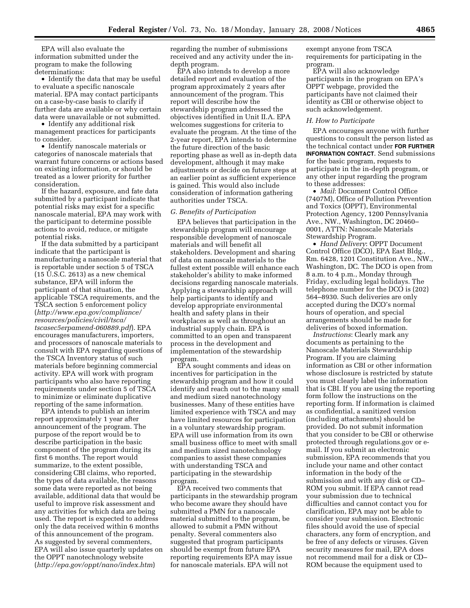EPA will also evaluate the information submitted under the program to make the following determinations:

• Identify the data that may be useful to evaluate a specific nanoscale material. EPA may contact participants on a case-by-case basis to clarify if further data are available or why certain data were unavailable or not submitted.

• Identify any additional risk management practices for participants to consider.

• Identify nanoscale materials or categories of nanoscale materials that warrant future concerns or actions based on existing information, or should be treated as a lower priority for further consideration.

If the hazard, exposure, and fate data submitted by a participant indicate that potential risks may exist for a specific nanoscale material, EPA may work with the participant to determine possible actions to avoid, reduce, or mitigate potential risks.

If the data submitted by a participant indicate that the participant is manufacturing a nanoscale material that is reportable under section 5 of TSCA (15 U.S.C. 2613) as a new chemical substance, EPA will inform the participant of that situation, the applicable TSCA requirements, and the TSCA section 5 enforcement policy (*http://www.epa.gov/compliance/ resources/policies/civil/tsca/ tscasec5erpamend-060889.pdf*). EPA encourages manufacturers, importers, and processors of nanoscale materials to consult with EPA regarding questions of the TSCA Inventory status of such materials before beginning commercial activity. EPA will work with program participants who also have reporting requirements under section 5 of TSCA to minimize or eliminate duplicative reporting of the same information.

EPA intends to publish an interim report approximately 1 year after announcement of the program. The purpose of the report would be to describe participation in the basic component of the program during its first 6 months. The report would summarize, to the extent possible, considering CBI claims, who reported, the types of data available, the reasons some data were reported as not being available, additional data that would be useful to improve risk assessment and any activities for which data are being used. The report is expected to address only the data received within 6 months of this announcement of the program. As suggested by several commenters, EPA will also issue quarterly updates on the OPPT nanotechnology website (*http://epa.gov/oppt/nano/index.htm*)

regarding the number of submissions received and any activity under the indepth program.

EPA also intends to develop a more detailed report and evaluation of the program approximately 2 years after announcement of the program. This report will describe how the stewardship program addressed the objectives identified in Unit II.A. EPA welcomes suggestions for criteria to evaluate the program. At the time of the 2-year report, EPA intends to determine the future direction of the basic reporting phase as well as in-depth data development, although it may make adjustments or decide on future steps at an earlier point as sufficient experience is gained. This would also include consideration of information gathering authorities under TSCA.

### *G. Benefits of Participation*

EPA believes that participation in the stewardship program will encourage responsible development of nanoscale materials and will benefit all stakeholders. Development and sharing of data on nanoscale materials to the fullest extent possible will enhance each stakeholder's ability to make informed decisions regarding nanoscale materials. Applying a stewardship approach will help participants to identify and develop appropriate environmental health and safety plans in their workplaces as well as throughout an industrial supply chain. EPA is committed to an open and transparent process in the development and implementation of the stewardship program.

EPA sought comments and ideas on incentives for participation in the stewardship program and how it could identify and reach out to the many small and medium sized nanotechnology businesses. Many of these entities have limited experience with TSCA and may have limited resources for participation in a voluntary stewardship program. EPA will use information from its own small business office to meet with small and medium sized nanotechnology companies to assist these companies with understanding TSCA and participating in the stewardship program.

EPA received two comments that participants in the stewardship program who become aware they should have submitted a PMN for a nanoscale material submitted to the program, be allowed to submit a PMN without penalty. Several commenters also suggested that program participants should be exempt from future EPA reporting requirements EPA may issue for nanoscale materials. EPA will not

exempt anyone from TSCA requirements for participating in the program.

EPA will also acknowledge participants in the program on EPA's OPPT webpage, provided the participants have not claimed their identity as CBI or otherwise object to such acknowledgement.

## *H. How to Participate*

EPA encourages anyone with further questions to consult the person listed as the technical contact under **FOR FURTHER INFORMATION CONTACT**. Send submissions for the basic program, requests to participate in the in-depth program, or any other input regarding the program to these addresses:

• *Mail*: Document Control Office (7407M), Office of Pollution Prevention and Toxics (OPPT), Environmental Protection Agency, 1200 Pennsylvania Ave., NW., Washington, DC 20460– 0001, ATTN: Nanoscale Materials Stewardship Program.

• *Hand Delivery*: OPPT Document Control Office (DCO), EPA East Bldg., Rm. 6428, 1201 Constitution Ave., NW., Washington, DC. The DCO is open from 8 a.m. to 4 p.m., Monday through Friday, excluding legal holidays. The telephone number for the DCO is (202) 564–8930. Such deliveries are only accepted during the DCO's normal hours of operation, and special arrangements should be made for deliveries of boxed information.

*Instructions*: Clearly mark any documents as pertaining to the Nanoscale Materials Stewardship Program. If you are claiming information as CBI or other information whose disclosure is restricted by statute you must clearly label the information that is CBI. If you are using the reporting form follow the instructions on the reporting form. If information is claimed as confidential, a sanitized version (including attachments) should be provided. Do not submit information that you consider to be CBI or otherwise protected through regulations.gov or email. If you submit an electronic submission, EPA recommends that you include your name and other contact information in the body of the submission and with any disk or CD– ROM you submit. If EPA cannot read your submission due to technical difficulties and cannot contact you for clarification, EPA may not be able to consider your submission. Electronic files should avoid the use of special characters, any form of encryption, and be free of any defects or viruses. Given security measures for mail, EPA does not recommend mail for a disk or CD– ROM because the equipment used to